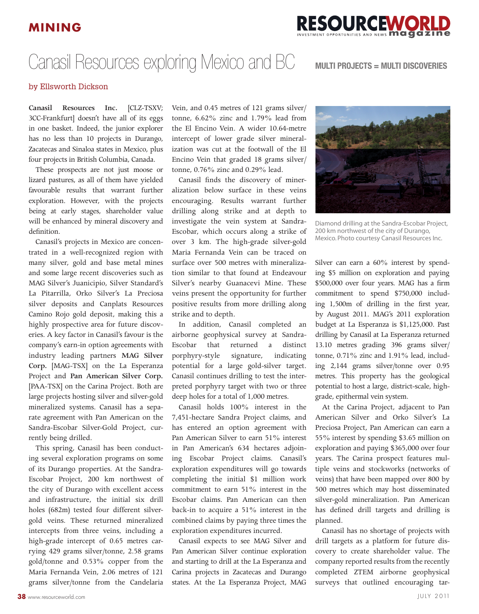## **MINING**



## Canasil Resources exploring Mexico and BC **MULTI PROJECTS = MULTI DISCOVERIES**

## by Ellsworth Dickson

**Canasil Resources Inc.** [CLZ-TSXV; 3CC-Frankfurt] doesn't have all of its eggs in one basket. Indeed, the junior explorer has no less than 10 projects in Durango, Zacatecas and Sinaloa states in Mexico, plus four projects in British Columbia, Canada.

These prospects are not just moose or lizard pastures, as all of them have yielded favourable results that warrant further exploration. However, with the projects being at early stages, shareholder value will be enhanced by mineral discovery and definition.

Canasil's projects in Mexico are concentrated in a well-recognized region with many silver, gold and base metal mines and some large recent discoveries such as MAG Silver's Juanicipio, Silver Standard's La Pitarrilla, Orko Silver's La Preciosa silver deposits and Canplats Resources Camino Rojo gold deposit, making this a highly prospective area for future discoveries. A key factor in Canasil's favour is the company's earn-in option agreements with industry leading partners **MAG Silver Corp.** [MAG-TSX] on the La Esperanza Project and **Pan American Silver Corp.**  [PAA-TSX] on the Carina Project. Both are large projects hosting silver and silver-gold mineralized systems. Canasil has a separate agreement with Pan American on the Sandra-Escobar Silver-Gold Project, currently being drilled.

This spring, Canasil has been conducting several exploration programs on some of its Durango properties. At the Sandra-Escobar Project, 200 km northwest of the city of Durango with excellent access and infrastructure, the initial six drill holes (682m) tested four different silvergold veins. These returned mineralized intercepts from three veins, including a high-grade intercept of 0.65 metres carrying 429 grams silver/tonne, 2.58 grams gold/tonne and 0.53% copper from the Maria Fernanda Vein, 2.06 metres of 121 grams silver/tonne from the Candelaria

Vein, and 0.45 metres of 121 grams silver/ tonne, 6.62% zinc and 1.79% lead from the El Encino Vein. A wider 10.64-metre intercept of lower grade silver mineralization was cut at the footwall of the El Encino Vein that graded 18 grams silver/ tonne, 0.76% zinc and 0.29% lead.

Canasil finds the discovery of mineralization below surface in these veins encouraging. Results warrant further drilling along strike and at depth to investigate the vein system at Sandra-Escobar, which occurs along a strike of over 3 km. The high-grade silver-gold Maria Fernanda Vein can be traced on surface over 500 metres with mineralization similar to that found at Endeavour Silver's nearby Guanacevi Mine. These veins present the opportunity for further positive results from more drilling along strike and to depth.

In addition, Canasil completed an airborne geophysical survey at Sandra-Escobar that returned a distinct porphyry-style signature, indicating potential for a large gold-silver target. Canasil continues drilling to test the interpreted porphyry target with two or three deep holes for a total of 1,000 metres.

Canasil holds 100% interest in the 7,451-hectare Sandra Project claims, and has entered an option agreement with Pan American Silver to earn 51% interest in Pan American's 634 hectares adjoining Escobar Project claims. Canasil's exploration expenditures will go towards completing the initial \$1 million work commitment to earn 51% interest in the Escobar claims. Pan American can then back-in to acquire a 51% interest in the combined claims by paying three times the exploration expenditures incurred.

Canasil expects to see MAG Silver and Pan American Silver continue exploration and starting to drill at the La Esperanza and Carina projects in Zacatecas and Durango states. At the La Esperanza Project, MAG



Diamond drilling at the Sandra-Escobar Project, 200 km northwest of the city of Durango, Mexico. Photo courtesy Canasil Resources Inc.

Silver can earn a 60% interest by spending \$5 million on exploration and paying \$500,000 over four years. MAG has a firm commitment to spend \$750,000 including 1,500m of drilling in the first year, by August 2011. MAG's 2011 exploration budget at La Esperanza is \$1,125,000. Past drilling by Canasil at La Esperanza returned 13.10 metres grading 396 grams silver/ tonne, 0.71% zinc and 1.91% lead, including 2,144 grams silver/tonne over 0.95 metres. This property has the geological potential to host a large, district-scale, highgrade, epithermal vein system.

At the Carina Project, adjacent to Pan American Silver and Orko Silver's La Preciosa Project, Pan American can earn a 55% interest by spending \$3.65 million on exploration and paying \$365,000 over four years. The Carina prospect features multiple veins and stockworks (networks of veins) that have been mapped over 800 by 500 metres which may host disseminated silver-gold mineralization. Pan American has defined drill targets and drilling is planned.

Canasil has no shortage of projects with drill targets as a platform for future discovery to create shareholder value. The company reported results from the recently completed ZTEM airborne geophysical surveys that outlined encouraging tar